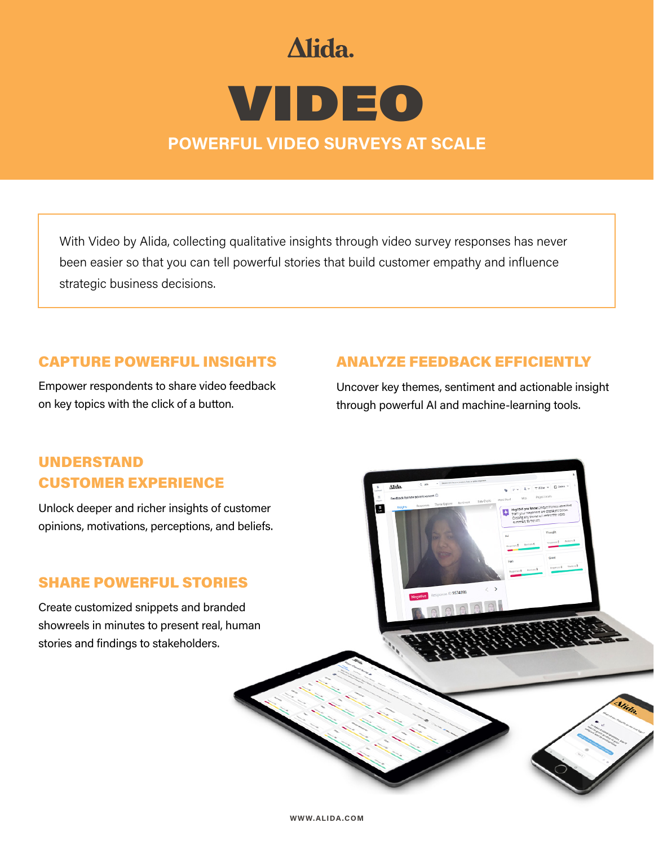# Alida.

# VIDEO **POWERFUL VIDEO SURVEYS AT SCALE**

With Video by Alida, collecting qualitative insights through video survey responses has never been easier so that you can tell powerful stories that build customer empathy and influence strategic business decisions.

### CAPTURE POWERFUL INSIGHTS

Empower respondents to share video feedback on key topics with the click of a button.

## ANALYZE FEEDBACK EFFICIENTLY

 $0.3574398$ 

Uncover key themes, sentiment and actionable insight through powerful AI and machine-learning tools.

# UNDERSTAND CUSTOMER EXPERIENCE

Unlock deeper and richer insights of customer opinions, motivations, perceptions, and beliefs.

## SHARE POWERFUL STORIES

Create customized snippets and branded showreels in minutes to present real, human stories and findings to stakeholders.